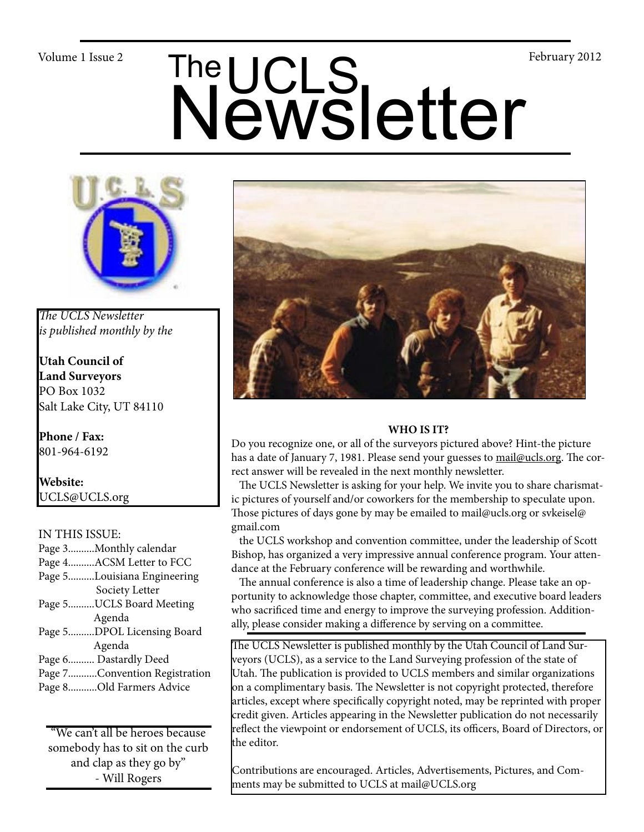# Volume 1 Issue 2<br>
Newsletter



*The UCLS Newsletter is published monthly by the*

**Utah Council of Land Surveyors** PO Box 1032 Salt Lake City, UT 84110

**Phone / Fax:**  801-964-6192

**Website:** UCLS@UCLS.org

## IN THIS ISSUE:

Page 3..........Monthly calendar Page 4..........ACSM Letter to FCC Page 5..........Louisiana Engineering Society Letter Page 5..........UCLS Board Meeting Agenda Page 5..........DPOL Licensing Board Agenda Page 6.......... Dastardly Deed Page 7...........Convention Registration Page 8...........Old Farmers Advice

"We can't all be heroes because somebody has to sit on the curb and clap as they go by" - Will Rogers



## **WHO IS IT?**

Do you recognize one, or all of the surveyors pictured above? Hint-the picture has a date of January 7, 1981. Please send your guesses to mail@ucls.org. The correct answer will be revealed in the next monthly newsletter.

 The UCLS Newsletter is asking for your help. We invite you to share charismatic pictures of yourself and/or coworkers for the membership to speculate upon. Those pictures of days gone by may be emailed to mail@ucls.org or svkeisel@ gmail.com

 the UCLS workshop and convention committee, under the leadership of Scott Bishop, has organized a very impressive annual conference program. Your attendance at the February conference will be rewarding and worthwhile.

 The annual conference is also a time of leadership change. Please take an opportunity to acknowledge those chapter, committee, and executive board leaders who sacrificed time and energy to improve the surveying profession. Additionally, please consider making a difference by serving on a committee.

The UCLS Newsletter is published monthly by the Utah Council of Land Surveyors (UCLS), as a service to the Land Surveying profession of the state of Utah. The publication is provided to UCLS members and similar organizations on a complimentary basis. The Newsletter is not copyright protected, therefore articles, except where specifically copyright noted, may be reprinted with proper credit given. Articles appearing in the Newsletter publication do not necessarily reflect the viewpoint or endorsement of UCLS, its officers, Board of Directors, or the editor.

Contributions are encouraged. Articles, Advertisements, Pictures, and Comments may be submitted to UCLS at mail@UCLS.org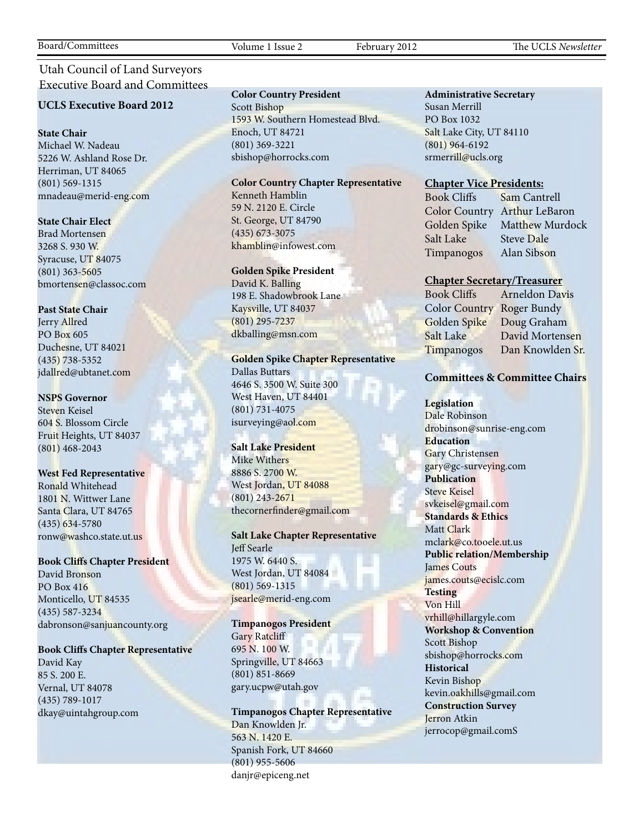# Utah Council of Land Surveyors Executive Board and Committees

### **UCLS Executive Board 2012**

### **State Chair**

Michael W. Nadeau 5226 W. Ashland Rose Dr. Herriman, UT 84065 (801) 569-1315 mnadeau@merid-eng.com

### **State Chair Elect**

Brad Mortensen 3268 S. 930 W. Syracuse, UT 84075 (801) 363-5605 bmortensen@classoc.com

### **Past State Chair**

Jerry Allred PO Box 605 Duchesne, UT 84021 (435) 738-5352 jdallred@ubtanet.com

### **NSPS Governor**

Steven Keisel 604 S. Blossom Circle Fruit Heights, UT 84037 (801) 468-2043

### **West Fed Representative**

Ronald Whitehead 1801 N. Wittwer Lane Santa Clara, UT 84765 (435) 634-5780 ronw@washco.state.ut.us

### **Book Cliffs Chapter President**

David Bronson PO Box 416 Monticello, UT 84535 (435) 587-3234 dabronson@sanjuancounty.org

## **Book Cliffs Chapter Representative**

David Kay 85 S. 200 E. Vernal, UT 84078 (435) 789-1017 dkay@uintahgroup.com

### **Color Country President**

Scott Bishop 1593 W. Southern Homestead Blvd. Enoch, UT 84721 (801) 369-3221 sbishop@horrocks.com

### **Color Country Chapter Representative**

Kenneth Hamblin 59 N. 2120 E. Circle St. George, UT 84790 (435) 673-3075 khamblin@infowest.com

### **Golden Spike President**

David K. Balling 198 E. Shadowbrook Lane Kaysville, UT 84037 (801) 295-7237 dkballing@msn.com

### **Golden Spike Chapter Representative**

Dallas Buttars 4646 S. 3500 W. Suite 300 West Haven, UT 84401 (801) 731-4075 isurveying@aol.com

### **Salt Lake President**

Mike Withers 8886 S. 2700 W. West Jordan, UT 84088 (801) 243-2671 thecornerfinder@gmail.com

### **Salt Lake Chapter Representative** Jeff Searle 1975 W. 6440 S. West Jordan, UT 84084 (801) 569-1315 jsearle@merid-eng.com

**Timpanogos President** Gary Ratcliff 695 N. 100 W. Springville, UT 84663 (801) 851-8669 gary.ucpw@utah.gov

**Timpanogos Chapter Representative** Dan Knowlden Jr. 563 N. 1420 E. Spanish Fork, UT 84660 (801) 955-5606 danjr@epiceng.net

### **Administrative Secretary**

Susan Merrill PO Box 1032 Salt Lake City, UT 84110 (801) 964-6192 srmerrill@ucls.org

### **Chapter Vice Presidents:**

Salt Lake Steve Dale Timpanogos Alan Sibson

Book Cliffs Sam Cantrell Color Country Arthur LeBaron Golden Spike Matthew Murdock

### **Chapter Secretary/Treasurer**

Color Country Roger Bundy Golden Spike Doug Graham Salt Lake David Mortensen Timpanogos Dan Knowlden Sr.

Book Cliffs Arneldon Davis

### **Committees & Committee Chairs**

**Legislation** Dale Robinson drobinson@sunrise-eng.com **Education** Gary Christensen gary@gc-surveying.com **Publication** Steve Keisel svkeisel@gmail.com **Standards & Ethics** Matt Clark mclark@co.tooele.ut.us **Public relation/Membership** James Couts james.couts@ecislc.com **Testing** Von Hill vrhill@hillargyle.com **Workshop & Convention** Scott Bishop sbishop@horrocks.com **Historical** Kevin Bishop kevin.oakhills@gmail.com **Construction Survey** Jerron Atkin jerrocop@gmail.comS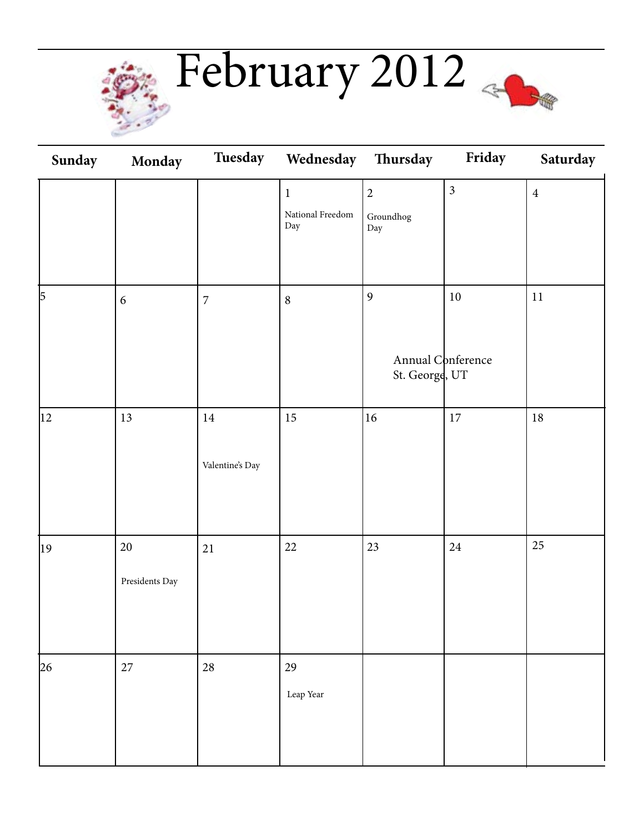

February 2012

| Sunday       | <b>Monday</b>            |                           | Tuesday Wednesday Thursday             |                                                                                         | Friday         | Saturday       |
|--------------|--------------------------|---------------------------|----------------------------------------|-----------------------------------------------------------------------------------------|----------------|----------------|
|              |                          |                           | $\mathbf 1$<br>National Freedom<br>Day | $\overline{2}$<br>$\operatorname{Groundhog}$<br>$\mathop{\operatorname {Day}}\nolimits$ | $\overline{3}$ | $\overline{4}$ |
| 5            | $\boldsymbol{6}$         | $\overline{7}$            | $\,8\,$                                | 9<br>Annual Conference<br>St. George, UT                                                | $10\,$         | $11\,$         |
| $ 12\rangle$ | 13                       | $14\,$<br>Valentine's Day | $15\,$                                 | 16                                                                                      | $17\,$         | $18\,$         |
| 19           | $20\,$<br>Presidents Day | $21\,$                    | $22\,$                                 | 23                                                                                      | $24\,$         | 25             |
| 26           | $27\,$                   | $28\,$                    | $29\,$<br>Leap Year                    |                                                                                         |                |                |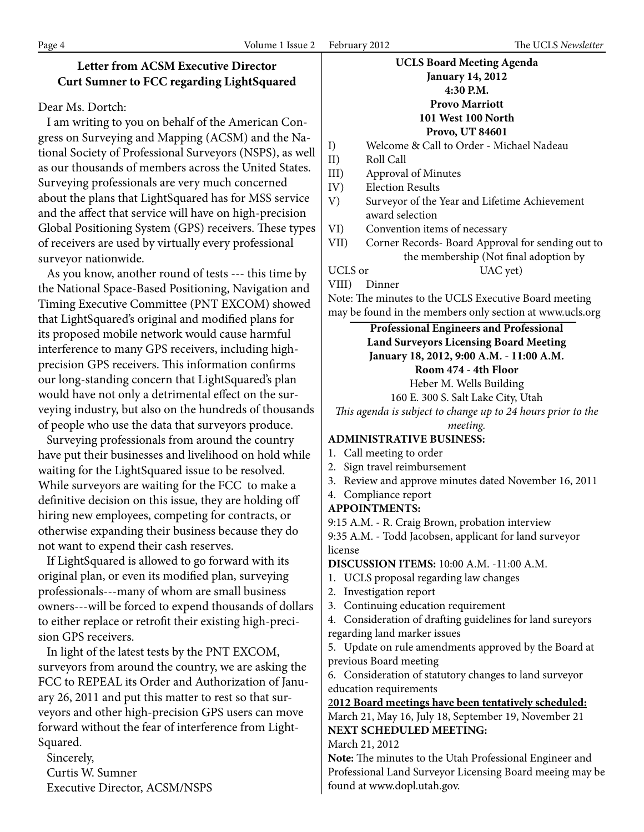# **Letter from ACSM Executive Director Curt Sumner to FCC regarding LightSquared**

# Dear Ms. Dortch:

 I am writing to you on behalf of the American Congress on Surveying and Mapping (ACSM) and the National Society of Professional Surveyors (NSPS), as well as our thousands of members across the United States. Surveying professionals are very much concerned about the plans that LightSquared has for MSS service and the affect that service will have on high-precision Global Positioning System (GPS) receivers. These types of receivers are used by virtually every professional surveyor nationwide.

 As you know, another round of tests --- this time by the National Space-Based Positioning, Navigation and Timing Executive Committee (PNT EXCOM) showed that LightSquared's original and modified plans for its proposed mobile network would cause harmful interference to many GPS receivers, including highprecision GPS receivers. This information confirms our long-standing concern that LightSquared's plan would have not only a detrimental effect on the surveying industry, but also on the hundreds of thousands of people who use the data that surveyors produce.

 Surveying professionals from around the country have put their businesses and livelihood on hold while waiting for the LightSquared issue to be resolved. While surveyors are waiting for the FCC to make a definitive decision on this issue, they are holding off hiring new employees, competing for contracts, or otherwise expanding their business because they do not want to expend their cash reserves.

 If LightSquared is allowed to go forward with its original plan, or even its modified plan, surveying professionals---many of whom are small business owners---will be forced to expend thousands of dollars to either replace or retrofit their existing high-precision GPS receivers.

 In light of the latest tests by the PNT EXCOM, surveyors from around the country, we are asking the FCC to REPEAL its Order and Authorization of January 26, 2011 and put this matter to rest so that surveyors and other high-precision GPS users can move forward without the fear of interference from Light-Squared.

 Sincerely, Curtis W. Sumner Executive Director, ACSM/NSPS

# **UCLS Board Meeting Agenda January 14, 2012 4:30 P.M. Provo Marriott**

# **101 West 100 North**

**Provo, UT 84601**

I) Welcome & Call to Order - Michael Nadeau

- II) Roll Call
- III) Approval of Minutes
- IV) Election Results
- V) Surveyor of the Year and Lifetime Achievement award selection
- VI) Convention items of necessary
- VII) Corner Records- Board Approval for sending out to the membership (Not final adoption by UCLS or UAC yet)
- 
- VIII) Dinner

Note: The minutes to the UCLS Executive Board meeting may be found in the members only section at www.ucls.org

> **Professional Engineers and Professional Land Surveyors Licensing Board Meeting January 18, 2012, 9:00 A.M. - 11:00 A.M.**

**Room 474 - 4th Floor**

Heber M. Wells Building

160 E. 300 S. Salt Lake City, Utah *This agenda is subject to change up to 24 hours prior to the* 

*meeting.*

# **ADMINISTRATIVE BUSINESS:**

- 1. Call meeting to order
- 2. Sign travel reimbursement
- 3. Review and approve minutes dated November 16, 2011
- 4. Compliance report

# **APPOINTMENTS:**

9:15 A.M. - R. Craig Brown, probation interview

9:35 A.M. - Todd Jacobsen, applicant for land surveyor license

**DISCUSSION ITEMS:** 10:00 A.M. -11:00 A.M.

- 1. UCLS proposal regarding law changes
- 2. Investigation report
- 3. Continuing education requirement

4. Consideration of drafting guidelines for land sureyors regarding land marker issues

5. Update on rule amendments approved by the Board at previous Board meeting

6. Consideration of statutory changes to land surveyor education requirements

# 2**012 Board meetings have been tentatively scheduled:**

March 21, May 16, July 18, September 19, November 21 **NEXT SCHEDULED MEETING:**

March 21, 2012

**Note:** The minutes to the Utah Professional Engineer and Professional Land Surveyor Licensing Board meeing may be found at www.dopl.utah.gov.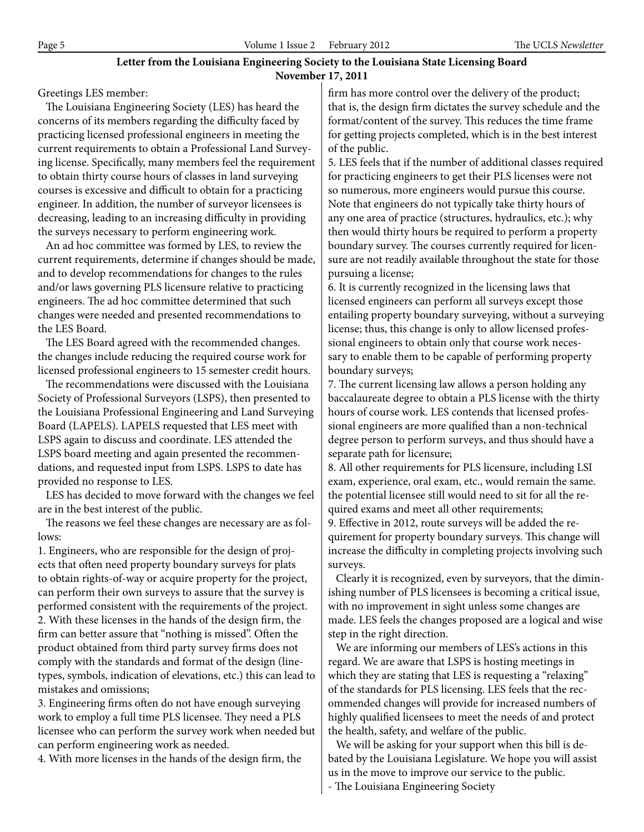### **Letter from the Louisiana Engineering Society to the Louisiana State Licensing Board November 17, 2011**

Greetings LES member:

 The Louisiana Engineering Society (LES) has heard the concerns of its members regarding the difficulty faced by practicing licensed professional engineers in meeting the current requirements to obtain a Professional Land Surveying license. Specifically, many members feel the requirement to obtain thirty course hours of classes in land surveying courses is excessive and difficult to obtain for a practicing engineer. In addition, the number of surveyor licensees is decreasing, leading to an increasing difficulty in providing the surveys necessary to perform engineering work.

 An ad hoc committee was formed by LES, to review the current requirements, determine if changes should be made, and to develop recommendations for changes to the rules and/or laws governing PLS licensure relative to practicing engineers. The ad hoc committee determined that such changes were needed and presented recommendations to the LES Board.

 The LES Board agreed with the recommended changes. the changes include reducing the required course work for licensed professional engineers to 15 semester credit hours.

 The recommendations were discussed with the Louisiana Society of Professional Surveyors (LSPS), then presented to the Louisiana Professional Engineering and Land Surveying Board (LAPELS). LAPELS requested that LES meet with LSPS again to discuss and coordinate. LES attended the LSPS board meeting and again presented the recommendations, and requested input from LSPS. LSPS to date has provided no response to LES.

 LES has decided to move forward with the changes we feel are in the best interest of the public.

 The reasons we feel these changes are necessary are as follows:

1. Engineers, who are responsible for the design of projects that often need property boundary surveys for plats to obtain rights-of-way or acquire property for the project, can perform their own surveys to assure that the survey is performed consistent with the requirements of the project. 2. With these licenses in the hands of the design firm, the firm can better assure that "nothing is missed". Often the product obtained from third party survey firms does not comply with the standards and format of the design (linetypes, symbols, indication of elevations, etc.) this can lead to mistakes and omissions;

3. Engineering firms often do not have enough surveying work to employ a full time PLS licensee. They need a PLS licensee who can perform the survey work when needed but can perform engineering work as needed.

4. With more licenses in the hands of the design firm, the

firm has more control over the delivery of the product; that is, the design firm dictates the survey schedule and the format/content of the survey. This reduces the time frame for getting projects completed, which is in the best interest of the public.

5. LES feels that if the number of additional classes required for practicing engineers to get their PLS licenses were not so numerous, more engineers would pursue this course. Note that engineers do not typically take thirty hours of any one area of practice (structures, hydraulics, etc.); why then would thirty hours be required to perform a property boundary survey. The courses currently required for licensure are not readily available throughout the state for those pursuing a license;

6. It is currently recognized in the licensing laws that licensed engineers can perform all surveys except those entailing property boundary surveying, without a surveying license; thus, this change is only to allow licensed professional engineers to obtain only that course work necessary to enable them to be capable of performing property boundary surveys;

7. The current licensing law allows a person holding any baccalaureate degree to obtain a PLS license with the thirty hours of course work. LES contends that licensed professional engineers are more qualified than a non-technical degree person to perform surveys, and thus should have a separate path for licensure;

8. All other requirements for PLS licensure, including LSI exam, experience, oral exam, etc., would remain the same. the potential licensee still would need to sit for all the required exams and meet all other requirements;

9. Effective in 2012, route surveys will be added the requirement for property boundary surveys. This change will increase the difficulty in completing projects involving such surveys.

 Clearly it is recognized, even by surveyors, that the diminishing number of PLS licensees is becoming a critical issue, with no improvement in sight unless some changes are made. LES feels the changes proposed are a logical and wise step in the right direction.

 We are informing our members of LES's actions in this regard. We are aware that LSPS is hosting meetings in which they are stating that LES is requesting a "relaxing" of the standards for PLS licensing. LES feels that the recommended changes will provide for increased numbers of highly qualified licensees to meet the needs of and protect the health, safety, and welfare of the public.

 We will be asking for your support when this bill is debated by the Louisiana Legislature. We hope you will assist us in the move to improve our service to the public.

- The Louisiana Engineering Society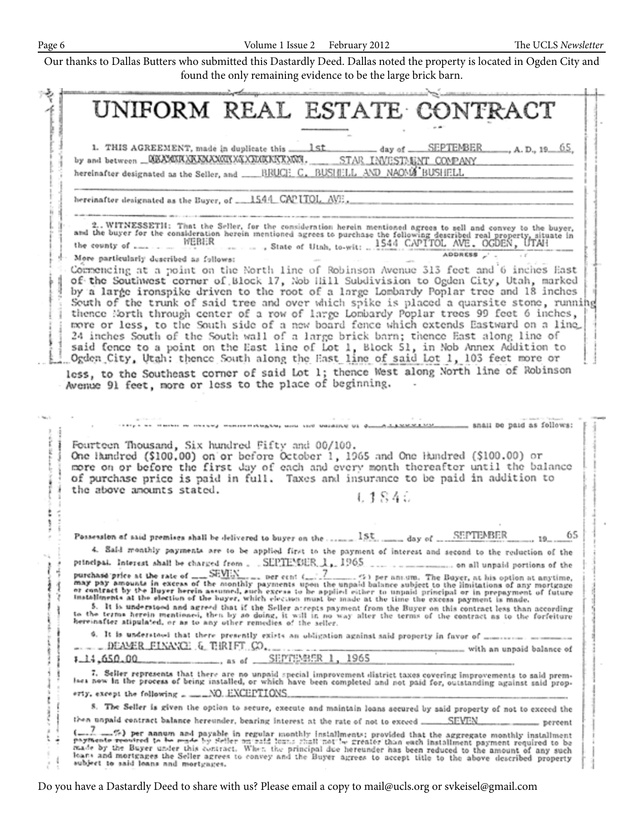|                                                                    | UNIFORM REAL ESTATE CONTRACT                                                                                                                                                                                                                        |
|--------------------------------------------------------------------|-----------------------------------------------------------------------------------------------------------------------------------------------------------------------------------------------------------------------------------------------------|
|                                                                    |                                                                                                                                                                                                                                                     |
|                                                                    |                                                                                                                                                                                                                                                     |
| by and between __GEAMMAXAXAAXCIIXGXXXCRXXXXXX.                     | STAR INVESTMENT COMPANY                                                                                                                                                                                                                             |
|                                                                    | hereinafter designated as the Seller, and ______RRUCH_C.__RUSHELL_AND_NAOMS BUSHELL                                                                                                                                                                 |
| hereinafter designated as the Buyer, of __1544_CAPITOL_AVE,        |                                                                                                                                                                                                                                                     |
|                                                                    |                                                                                                                                                                                                                                                     |
|                                                                    | 2. WITNESSETH: That the Seller, for the consideration herein mentioned agrees to sell and convey to the buyer, and the buyer for the consideration herein mentioned agrees to purchase the following described real property,                       |
| More particularly described as follows:                            | ADDRESS                                                                                                                                                                                                                                             |
|                                                                    | Commencing at a point on the North line of Robinson Avenue 313 feet and 6 inches East                                                                                                                                                               |
|                                                                    | of the Southwest corner of Block 17, Nob Hill Subdivision to Ogden City, Utah, marked                                                                                                                                                               |
|                                                                    | by a large ironspike driven to the root of a large Lombardy Poplar tree and 18 inches<br>South of the trunk of said tree and over which spike is placed a quarsite stone, running                                                                   |
|                                                                    | thence North through center of a row of large Lombardy Poplar trees 99 feet 6 inches,                                                                                                                                                               |
|                                                                    | more or less, to the South side of a new board fence which extends Eastward on a line                                                                                                                                                               |
|                                                                    | 24 inches South of the South wall of a large brick barn; thence East along line of                                                                                                                                                                  |
|                                                                    | said fence to a point on the East line of Lot 1, Block 51, in Nob Annex Addition to                                                                                                                                                                 |
|                                                                    | Ogden City, Utah: thence South along the East line of said Lot 1, 103 feet more or                                                                                                                                                                  |
|                                                                    | less, to the Southeast corner of said Lot 1; thence West along North line of Robinson                                                                                                                                                               |
|                                                                    | Avenue 91 feet, more or less to the place of beginning.                                                                                                                                                                                             |
|                                                                    |                                                                                                                                                                                                                                                     |
|                                                                    |                                                                                                                                                                                                                                                     |
|                                                                    | a wanner-reagear and the warding of dimensional services. Shall be paid as follows:                                                                                                                                                                 |
|                                                                    |                                                                                                                                                                                                                                                     |
| Fourteen Thousand, Six hundred Fifty and 00/100.                   |                                                                                                                                                                                                                                                     |
|                                                                    | One lamdred (\$100.00) on or before October 1, 1965 and One Hundred (\$100.00) or<br>more on or before the first day of each and every month thereafter until the balance                                                                           |
|                                                                    | of purchase price is paid in full. Taxes and insurance to be paid in addition to                                                                                                                                                                    |
| the above amounts stated.                                          |                                                                                                                                                                                                                                                     |
|                                                                    | L 1 8 4 U                                                                                                                                                                                                                                           |
|                                                                    |                                                                                                                                                                                                                                                     |
|                                                                    |                                                                                                                                                                                                                                                     |
|                                                                    | 65<br>Possession of said premises shall be delivered to buyer on the  1St.  day of  SEPTEMBER                                                                                                                                                       |
|                                                                    | 4. Said meathly payments are to be applied first to the payment of interest and second to the reduction of the                                                                                                                                      |
|                                                                    |                                                                                                                                                                                                                                                     |
|                                                                    |                                                                                                                                                                                                                                                     |
|                                                                    | purchase price at the rate of $\frac{1}{\sqrt{2}}$ or $\frac{1}{2}$ ber cent $\frac{7}{2}$ (5) per ansum. The Bayer, at his option at anytime, may pay amounts in excess of the monthly payments upon the unpaid balance subject to the limit       |
|                                                                    | installments at the election of the buyer, which election must be made at the time the excess payment is made.                                                                                                                                      |
|                                                                    | 5. It is understood and agreed that if the Seller accepts payment from the Buyer on this contract less than according                                                                                                                               |
| hereinafter atipulated, or as to any other remedies of the seller. | to the terms herein mentioned, then by so doing, it will in no way alter the terms of the contract as to the forfeiture                                                                                                                             |
|                                                                    | 9. It is understood that there presently exists an obligation against said property in favor of measurements of                                                                                                                                     |
| . DEAMER FINANCE & TERIFT CO.                                      | with an unpaid balance of                                                                                                                                                                                                                           |
|                                                                    | 7.14,650.00 as of SEPTEMBER 1, 1965                                                                                                                                                                                                                 |
|                                                                    | 7. Seller represents that there are no unpaid special improvement district taxes covering improvements to said prem-<br>lses now in the process of being installed, or which have been completed and not paid for, outstanding against said prop-   |
|                                                                    |                                                                                                                                                                                                                                                     |
|                                                                    |                                                                                                                                                                                                                                                     |
| erty, except the following _ ____NO. EXCEPTIONS.                   |                                                                                                                                                                                                                                                     |
|                                                                    | 8. The Seller is given the option to secure, execute and maintain loans secured by said property of not to exceed the                                                                                                                               |
|                                                                    | then unpaid contract balance hereunder, bearing interest at the rate of not to exceed  SEVEN.<br>- percent<br>$\mathbb{Z}$ == $\mathbb{Z}$ ) per aanum and payable in regular monthly installments; provided that the aggregate monthly installment |

Do you have a Dastardly Deed to share with us? Please email a copy to mail@ucls.org or svkeisel@gmail.com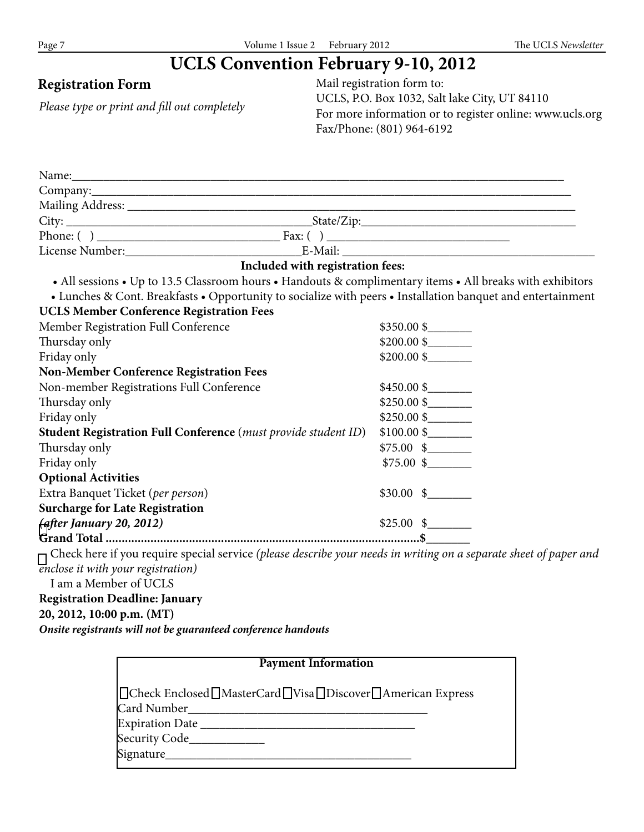# **UCLS Convention February 9-10, 2012**

*Please type or print and fill out completely*

**Registration Form** Mail registration form to: UCLS, P.O. Box 1032, Salt lake City, UT 84110 For more information or to register online: www.ucls.org Fax/Phone: (801) 964-6192

| Included with registration fees:                                                                                         |                     |
|--------------------------------------------------------------------------------------------------------------------------|---------------------|
| • All sessions • Up to 13.5 Classroom hours • Handouts & complimentary items • All breaks with exhibitors                |                     |
| • Lunches & Cont. Breakfasts • Opportunity to socialize with peers • Installation banquet and entertainment              |                     |
| <b>UCLS Member Conference Registration Fees</b>                                                                          |                     |
| Member Registration Full Conference                                                                                      | $$350.00$ \$        |
| Thursday only                                                                                                            |                     |
| Friday only                                                                                                              | $$200.00\$          |
| <b>Non-Member Conference Registration Fees</b>                                                                           |                     |
| Non-member Registrations Full Conference                                                                                 | $$450.00$ \$        |
| Thursday only                                                                                                            | $$250.00$ \$        |
| Friday only                                                                                                              | $$250.00$ \$        |
| Student Registration Full Conference (must provide student ID)                                                           |                     |
| Thursday only                                                                                                            | $$75.00 \$$         |
| Friday only                                                                                                              | $$75.00 \text{ s}$  |
| <b>Optional Activities</b>                                                                                               |                     |
| Extra Banquet Ticket (per person)                                                                                        | $$30.00 \text{ } $$ |
| <b>Surcharge for Late Registration</b>                                                                                   |                     |
| (after January 20, 2012)                                                                                                 | $$25.00 \text{ s}$  |
|                                                                                                                          |                     |
| $\Box$ Check here if you require special service (please describe your needs in writing on a separate sheet of paper and |                     |
| <i><b>Enclose it with your registration</b></i>                                                                          |                     |
| I am a Member of UCLS                                                                                                    |                     |
| <b>Registration Deadline: January</b>                                                                                    |                     |
| 20, 2012, 10:00 p.m. (MT)                                                                                                |                     |
| Onsite registrants will not be guaranteed conference handouts                                                            |                     |

| <b>Payment Information</b>                                |
|-----------------------------------------------------------|
| □Check Enclosed□MasterCard□Visa□Discover□American Express |
|                                                           |
|                                                           |
| Security Code_____________                                |
| Signature________                                         |